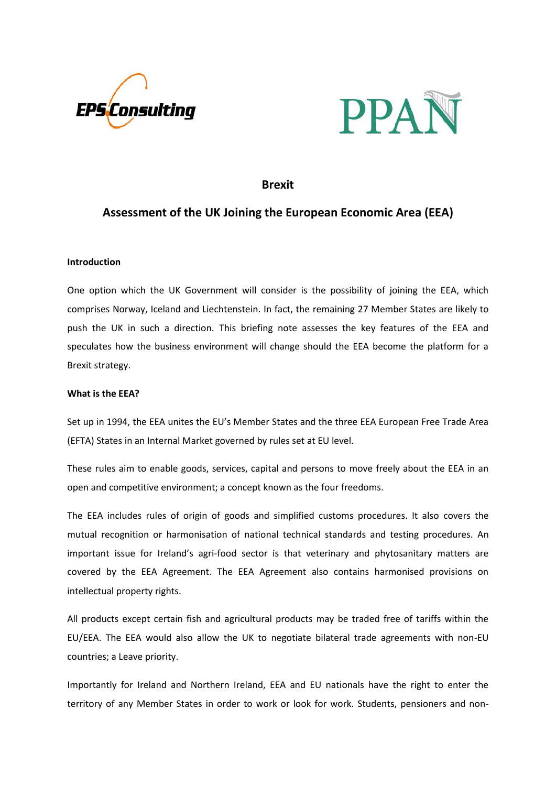



# **Brexit**

# **Assessment of the UK Joining the European Economic Area (EEA)**

## **Introduction**

One option which the UK Government will consider is the possibility of joining the EEA, which comprises Norway, Iceland and Liechtenstein. In fact, the remaining 27 Member States are likely to push the UK in such a direction. This briefing note assesses the key features of the EEA and speculates how the business environment will change should the EEA become the platform for a Brexit strategy.

## **What is the EEA?**

Set up in 1994, the EEA unites the EU's Member States and the three EEA European Free Trade Area (EFTA) States in an Internal Market governed by rules set at EU level.

These rules aim to enable goods, services, capital and persons to move freely about the EEA in an open and competitive environment; a concept known as the four freedoms.

The EEA includes rules of origin of goods and simplified customs procedures. It also covers the mutual recognition or harmonisation of national technical standards and testing procedures. An important issue for Ireland's agri-food sector is that veterinary and phytosanitary matters are covered by the EEA Agreement. The EEA Agreement also contains harmonised provisions on intellectual property rights.

All products except certain fish and agricultural products may be traded free of tariffs within the EU/EEA. The EEA would also allow the UK to negotiate bilateral trade agreements with non-EU countries; a Leave priority.

Importantly for Ireland and Northern Ireland, EEA and EU nationals have the right to enter the territory of any Member States in order to work or look for work. Students, pensioners and non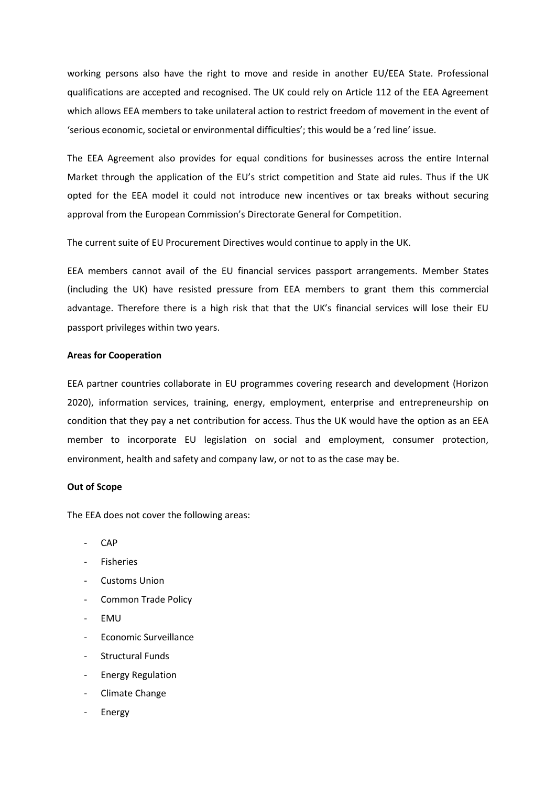working persons also have the right to move and reside in another EU/EEA State. Professional qualifications are accepted and recognised. The UK could rely on Article 112 of the EEA Agreement which allows EEA members to take unilateral action to restrict freedom of movement in the event of 'serious economic, societal or environmental difficulties'; this would be a 'red line' issue.

The EEA Agreement also provides for equal conditions for businesses across the entire Internal Market through the application of the EU's strict competition and State aid rules. Thus if the UK opted for the EEA model it could not introduce new incentives or tax breaks without securing approval from the European Commission's Directorate General for Competition.

The current suite of EU Procurement Directives would continue to apply in the UK.

EEA members cannot avail of the EU financial services passport arrangements. Member States (including the UK) have resisted pressure from EEA members to grant them this commercial advantage. Therefore there is a high risk that that the UK's financial services will lose their EU passport privileges within two years.

#### **Areas for Cooperation**

EEA partner countries collaborate in EU programmes covering research and development (Horizon 2020), information services, training, energy, employment, enterprise and entrepreneurship on condition that they pay a net contribution for access. Thus the UK would have the option as an EEA member to incorporate EU legislation on social and employment, consumer protection, environment, health and safety and company law, or not to as the case may be.

### **Out of Scope**

The EEA does not cover the following areas:

- CAP
- **Fisheries**
- Customs Union
- Common Trade Policy
- EMU
- Economic Surveillance
- Structural Funds
- Energy Regulation
- Climate Change
- **Energy**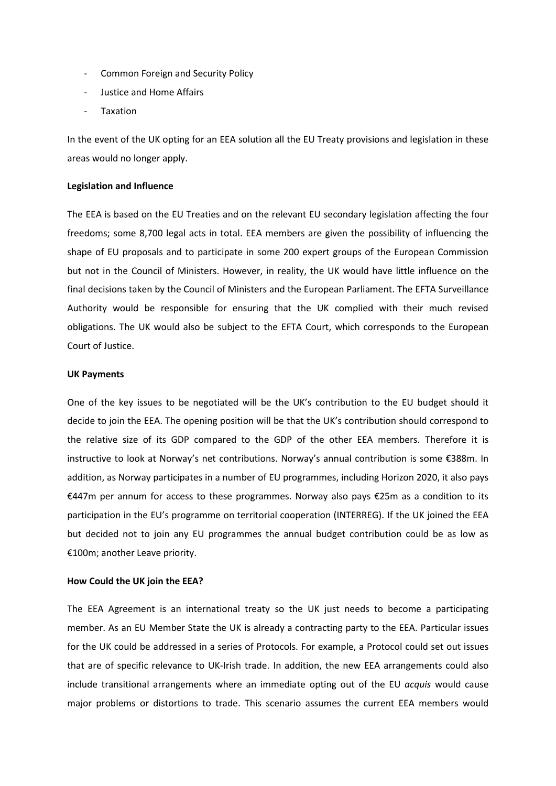- Common Foreign and Security Policy
- Justice and Home Affairs
- **Taxation**

In the event of the UK opting for an EEA solution all the EU Treaty provisions and legislation in these areas would no longer apply.

#### **Legislation and Influence**

The EEA is based on the EU Treaties and on the relevant EU secondary legislation affecting the four freedoms; some 8,700 legal acts in total. EEA members are given the possibility of influencing the shape of EU proposals and to participate in some 200 expert groups of the European Commission but not in the Council of Ministers. However, in reality, the UK would have little influence on the final decisions taken by the Council of Ministers and the European Parliament. The EFTA Surveillance Authority would be responsible for ensuring that the UK complied with their much revised obligations. The UK would also be subject to the EFTA Court, which corresponds to the European Court of Justice.

### **UK Payments**

One of the key issues to be negotiated will be the UK's contribution to the EU budget should it decide to join the EEA. The opening position will be that the UK's contribution should correspond to the relative size of its GDP compared to the GDP of the other EEA members. Therefore it is instructive to look at Norway's net contributions. Norway's annual contribution is some €388m. In addition, as Norway participates in a number of EU programmes, including Horizon 2020, it also pays €447m per annum for access to these programmes. Norway also pays €25m as a condition to its participation in the EU's programme on territorial cooperation (INTERREG). If the UK joined the EEA but decided not to join any EU programmes the annual budget contribution could be as low as €100m; another Leave priority.

#### **How Could the UK join the EEA?**

The EEA Agreement is an international treaty so the UK just needs to become a participating member. As an EU Member State the UK is already a contracting party to the EEA. Particular issues for the UK could be addressed in a series of Protocols. For example, a Protocol could set out issues that are of specific relevance to UK-Irish trade. In addition, the new EEA arrangements could also include transitional arrangements where an immediate opting out of the EU *acquis* would cause major problems or distortions to trade. This scenario assumes the current EEA members would